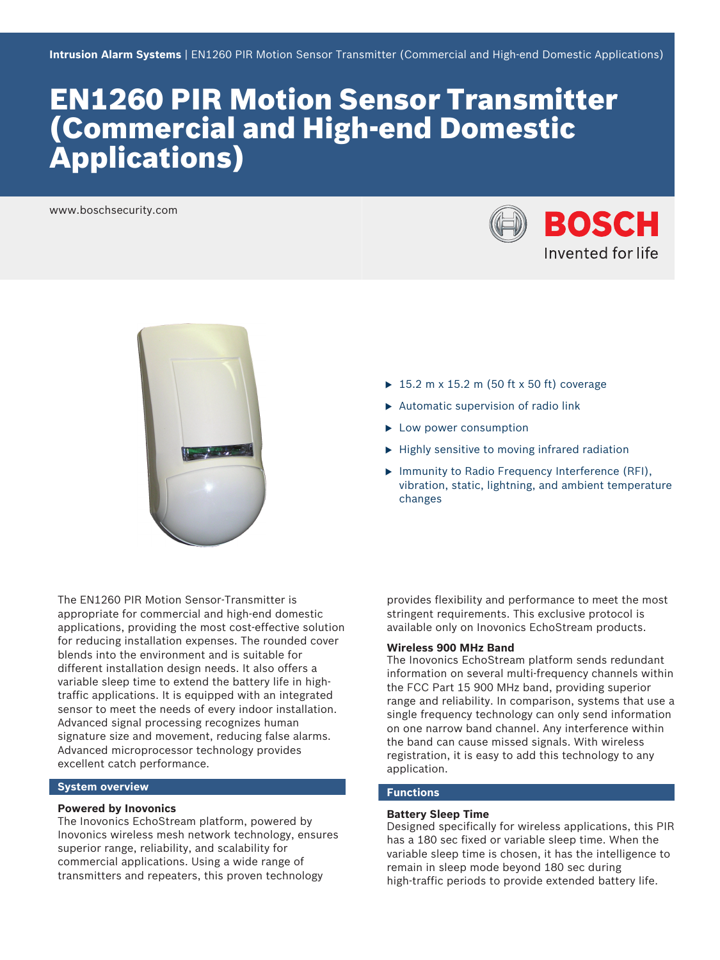# EN1260 PIR Motion Sensor Transmitter (Commercial and High-end Domestic Applications)

www.boschsecurity.com





- $\blacktriangleright$  15.2 m x 15.2 m (50 ft x 50 ft) coverage
- $\blacktriangleright$  Automatic supervision of radio link
- $\blacktriangleright$  Low power consumption
- $\blacktriangleright$  Highly sensitive to moving infrared radiation
- $\blacktriangleright$  Immunity to Radio Frequency Interference (RFI), vibration, static, lightning, and ambient temperature changes

The EN1260 PIR Motion Sensor‑Transmitter is appropriate for commercial and high-end domestic applications, providing the most cost-effective solution for reducing installation expenses. The rounded cover blends into the environment and is suitable for different installation design needs. It also offers a variable sleep time to extend the battery life in hightraffic applications. It is equipped with an integrated sensor to meet the needs of every indoor installation. Advanced signal processing recognizes human signature size and movement, reducing false alarms. Advanced microprocessor technology provides excellent catch performance.

# **System overview**

# **Powered by Inovonics**

The Inovonics EchoStream platform, powered by Inovonics wireless mesh network technology, ensures superior range, reliability, and scalability for commercial applications. Using a wide range of transmitters and repeaters, this proven technology

provides flexibility and performance to meet the most stringent requirements. This exclusive protocol is available only on Inovonics EchoStream products.

# **Wireless 900 MHz Band**

The Inovonics EchoStream platform sends redundant information on several multi-frequency channels within the FCC Part 15 900 MHz band, providing superior range and reliability. In comparison, systems that use a single frequency technology can only send information on one narrow band channel. Any interference within the band can cause missed signals. With wireless registration, it is easy to add this technology to any application.

# **Functions**

# **Battery Sleep Time**

Designed specifically for wireless applications, this PIR has a 180 sec fixed or variable sleep time. When the variable sleep time is chosen, it has the intelligence to remain in sleep mode beyond 180 sec during high-traffic periods to provide extended battery life.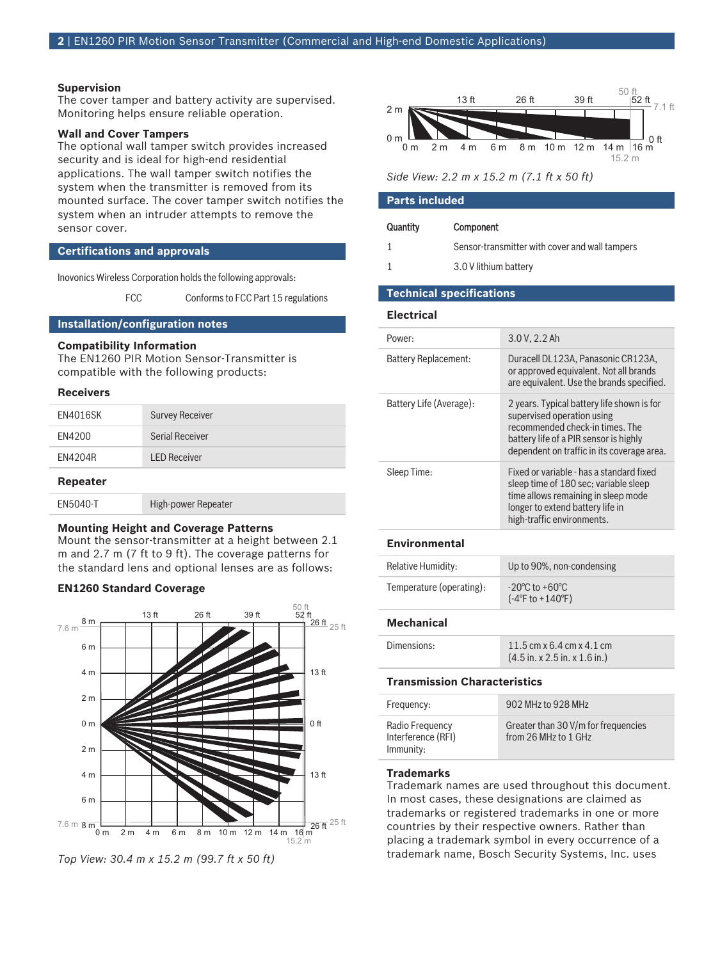### **Supervision**

The cover tamper and battery activity are supervised. Monitoring helps ensure reliable operation.

# **Wall and Cover Tampers**

The optional wall tamper switch provides increased security and is ideal for high-end residential applications. The wall tamper switch notifies the system when the transmitter is removed from its mounted surface. The cover tamper switch notifies the system when an intruder attempts to remove the sensor cover.

# **Certifications and approvals**

Inovonics Wireless Corporation holds the following approvals:

FCC Conforms to FCC Part 15 regulations

# **Installation/configuration notes**

# **Compatibility Information**

The EN1260 PIR Motion Sensor‑Transmitter is compatible with the following products:

# **Receivers**

| EN4016SK        | <b>Survey Receiver</b> |
|-----------------|------------------------|
| EN4200          | <b>Serial Receiver</b> |
| EN4204R         | <b>LED Receiver</b>    |
| <b>Repeater</b> |                        |
| EN5040-T        | High-power Repeater    |

#### **Mounting Height and Coverage Patterns**

Mount the sensor-transmitter at a height between 2.1 m and 2.7 m (7 ft to 9 ft). The coverage patterns for the standard lens and optional lenses are as follows:

### **EN1260 Standard Coverage**







#### **Parts included**

| Quantity | Component |  |  |  |  |  |  |
|----------|-----------|--|--|--|--|--|--|
|          |           |  |  |  |  |  |  |

- 1 Sensor‑transmitter with cover and wall tampers
- 1 3.0 V lithium battery

# **Technical specifications**

#### **Electrical**

| Power:                      | 3.0 V, 2.2 Ah                                                                                                                                                                                       |
|-----------------------------|-----------------------------------------------------------------------------------------------------------------------------------------------------------------------------------------------------|
| <b>Battery Replacement:</b> | Duracell DL123A, Panasonic CR123A,<br>or approved equivalent. Not all brands<br>are equivalent. Use the brands specified.                                                                           |
| Battery Life (Average):     | 2 years. Typical battery life shown is for<br>supervised operation using<br>recommended check-in times. The<br>battery life of a PIR sensor is highly<br>dependent on traffic in its coverage area. |
| Sleep Time:                 | Fixed or variable - has a standard fixed<br>sleep time of 180 sec; variable sleep<br>time allows remaining in sleep mode<br>longer to extend battery life in<br>high-traffic environments.          |

# **Environmental**

| Relative Humidity:       | Up to 90%, non-condensing                                                  |
|--------------------------|----------------------------------------------------------------------------|
| Temperature (operating): | $-20^{\circ}$ C to $+60^{\circ}$ C<br>$(-4^{\circ}$ F to $+140^{\circ}$ F) |

### **Mechanical**

| Dimensions: | 11.5 cm x 6.4 cm x 4.1 cm                                 |
|-------------|-----------------------------------------------------------|
|             | $(4.5 \text{ in. x } 2.5 \text{ in. x } 1.6 \text{ in.})$ |

### **Transmission Characteristics**

| Frequency:                                         | 902 MHz to 928 MHz                                          |
|----------------------------------------------------|-------------------------------------------------------------|
| Radio Frequency<br>Interference (RFI)<br>Immunity: | Greater than 30 V/m for frequencies<br>from 26 MHz to 1 GHz |

# **Trademarks**

Trademark names are used throughout this document. In most cases, these designations are claimed as trademarks or registered trademarks in one or more countries by their respective owners. Rather than placing a trademark symbol in every occurrence of a trademark name, Bosch Security Systems, Inc. uses